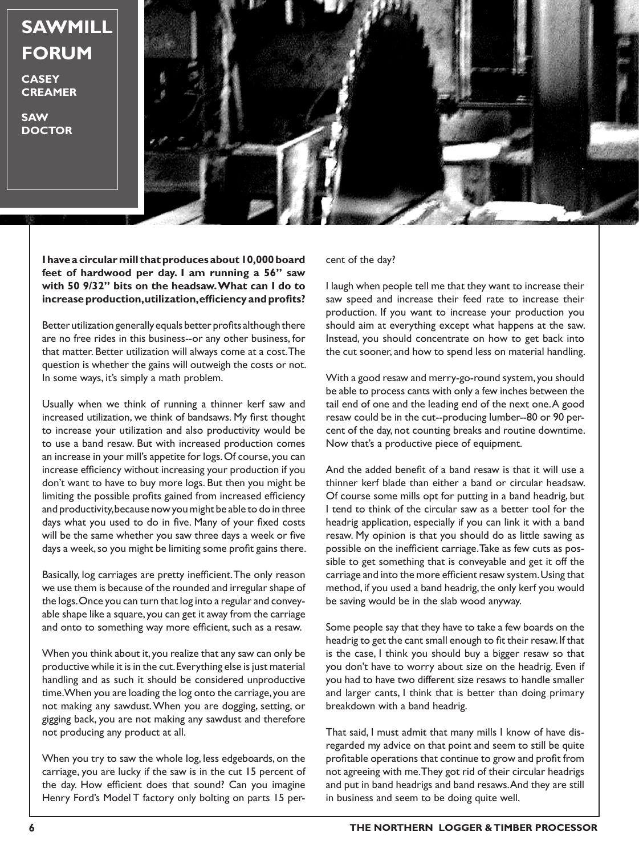## **SAWMILL FORUM**

**CASEY CREAMER**

**SAW DOCTOR**



**I have a circular mill that produces about 10,000 board feet of hardwood per day. I am running a 56" saw with 50 9/32" bits on the headsaw. What can I do to increase production, utilization, efficiency and profits?**

Better utilization generally equals better profits although there are no free rides in this business--or any other business, for that matter. Better utilization will always come at a cost. The question is whether the gains will outweigh the costs or not. In some ways, it's simply a math problem.

Usually when we think of running a thinner kerf saw and increased utilization, we think of bandsaws. My first thought to increase your utilization and also productivity would be to use a band resaw. But with increased production comes an increase in your mill's appetite for logs. Of course, you can increase efficiency without increasing your production if you don't want to have to buy more logs. But then you might be limiting the possible profits gained from increased efficiency and productivity, because now you might be able to do in three days what you used to do in five. Many of your fixed costs will be the same whether you saw three days a week or five days a week, so you might be limiting some profit gains there.

Basically, log carriages are pretty inefficient. The only reason we use them is because of the rounded and irregular shape of the logs. Once you can turn that log into a regular and conveyable shape like a square, you can get it away from the carriage and onto to something way more efficient, such as a resaw.

When you think about it, you realize that any saw can only be productive while it is in the cut. Everything else is just material handling and as such it should be considered unproductive time. When you are loading the log onto the carriage, you are not making any sawdust. When you are dogging, setting, or gigging back, you are not making any sawdust and therefore not producing any product at all.

When you try to saw the whole log, less edgeboards, on the carriage, you are lucky if the saw is in the cut 15 percent of the day. How efficient does that sound? Can you imagine Henry Ford's Model T factory only bolting on parts 15 per-

## cent of the day?

I laugh when people tell me that they want to increase their saw speed and increase their feed rate to increase their production. If you want to increase your production you should aim at everything except what happens at the saw. Instead, you should concentrate on how to get back into the cut sooner, and how to spend less on material handling.

With a good resaw and merry-go-round system, you should be able to process cants with only a few inches between the tail end of one and the leading end of the next one. A good resaw could be in the cut--producing lumber--80 or 90 percent of the day, not counting breaks and routine downtime. Now that's a productive piece of equipment.

And the added benefit of a band resaw is that it will use a thinner kerf blade than either a band or circular headsaw. Of course some mills opt for putting in a band headrig, but I tend to think of the circular saw as a better tool for the headrig application, especially if you can link it with a band resaw. My opinion is that you should do as little sawing as possible on the inefficient carriage. Take as few cuts as possible to get something that is conveyable and get it off the carriage and into the more efficient resaw system. Using that method, if you used a band headrig, the only kerf you would be saving would be in the slab wood anyway.

Some people say that they have to take a few boards on the headrig to get the cant small enough to fit their resaw. If that is the case, I think you should buy a bigger resaw so that you don't have to worry about size on the headrig. Even if you had to have two different size resaws to handle smaller and larger cants, I think that is better than doing primary breakdown with a band headrig.

That said, I must admit that many mills I know of have disregarded my advice on that point and seem to still be quite profitable operations that continue to grow and profit from not agreeing with me. They got rid of their circular headrigs and put in band headrigs and band resaws. And they are still in business and seem to be doing quite well.